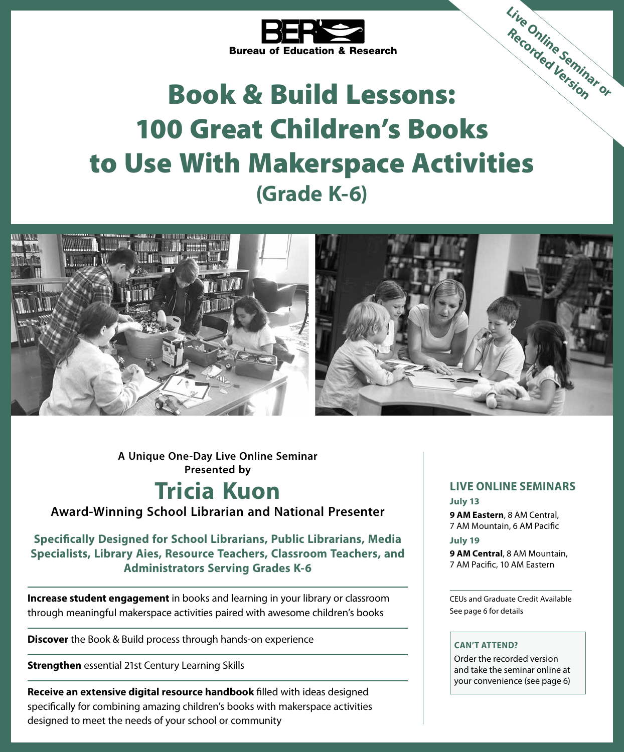

# Book & Build Lessons: 100 Great Children's Books to Use With Makerspace Activities **(Grade K-6) Live Online Seminar or Recorded Version**



**A Unique One-Day Live Online Seminar Presented by**

## **Tricia Kuon**

**Award-Winning School Librarian and National Presenter**

#### **Specifically Designed for School Librarians, Public Librarians, Media Specialists, Library Aies, Resource Teachers, Classroom Teachers, and Administrators Serving Grades K-6**

**Increase student engagement** in books and learning in your library or classroom through meaningful makerspace activities paired with awesome children's books

**Discover** the Book & Build process through hands-on experience

**Strengthen** essential 21st Century Learning Skills

**Receive an extensive digital resource handbook** filled with ideas designed specifically for combining amazing children's books with makerspace activities designed to meet the needs of your school or community

#### **LIVE ONLINE SEMINARS**

#### **July 13**

**9 AM Eastern**, 8 AM Central, 7 AM Mountain, 6 AM Pacific **July 19**

**9 AM Central**, 8 AM Mountain, 7 AM Pacific, 10 AM Eastern

CEUs and Graduate Credit Available See page 6 for details

#### **CAN'T ATTEND?**

Order the recorded version and take the seminar online at your convenience (see page 6)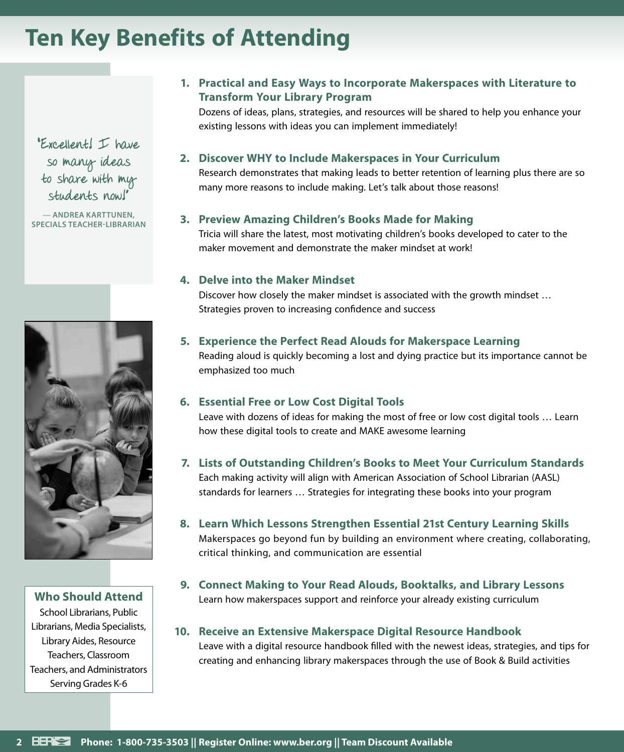## **Ten Key Benefits of Attending**

"Excellent! I have so many ideas to share with my students now!"

— **ANDREA KARTTUNEN, SPECIALS TEACHER-LIBRARIAN**



**Who Should Attend**

School Librarians, Public Librarians, Media Specialists, Library Aides, Resource Teachers, Classroom Teachers, and Administrators Serving Grades K-6

#### **1. Practical and Easy Ways to Incorporate Makerspaces with Literature to Transform Your Library Program**

Dozens of ideas, plans, strategies, and resources will be shared to help you enhance your existing lessons with ideas you can implement immediately!

#### **2. Discover WHY to Include Makerspaces in Your Curriculum**

Research demonstrates that making leads to better retention of learning plus there are so many more reasons to include making. Let's talk about those reasons!

#### **3. Preview Amazing Children's Books Made for Making**

Tricia will share the latest, most motivating children's books developed to cater to the maker movement and demonstrate the maker mindset at work!

#### **4. Delve into the Maker Mindset**

Discover how closely the maker mindset is associated with the growth mindset … Strategies proven to increasing confidence and success

#### **5. Experience the Perfect Read Alouds for Makerspace Learning**

Reading aloud is quickly becoming a lost and dying practice but its importance cannot be emphasized too much

#### **6. Essential Free or Low Cost Digital Tools**

Leave with dozens of ideas for making the most of free or low cost digital tools … Learn how these digital tools to create and MAKE awesome learning

#### **7. Lists of Outstanding Children's Books to Meet Your Curriculum Standards** Each making activity will align with American Association of School Librarian (AASL) standards for learners … Strategies for integrating these books into your program

- **8. Learn Which Lessons Strengthen Essential 21st Century Learning Skills** Makerspaces go beyond fun by building an environment where creating, collaborating, critical thinking, and communication are essential
- **9. Connect Making to Your Read Alouds, Booktalks, and Library Lessons** Learn how makerspaces support and reinforce your already existing curriculum

#### **10. Receive an Extensive Makerspace Digital Resource Handbook**

Leave with a digital resource handbook filled with the newest ideas, strategies, and tips for creating and enhancing library makerspaces through the use of Book & Build activities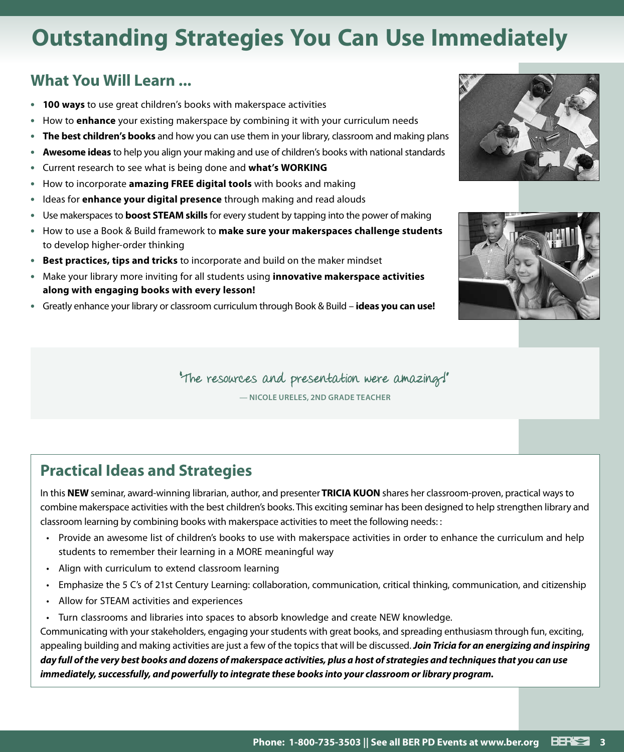# **Outstanding Strategies You Can Use Immediately**

#### **What You Will Learn ...**

- **• 100 ways** to use great children's books with makerspace activities
- **•** How to **enhance** your existing makerspace by combining it with your curriculum needs
- **• The best children's books** and how you can use them in your library, classroom and making plans
- **• Awesome ideas** to help you align your making and use of children's books with national standards
- **•** Current research to see what is being done and **what's WORKING**
- **•** How to incorporate **amazing FREE digital tools** with books and making
- **•** Ideas for **enhance your digital presence** through making and read alouds
- **•** Use makerspaces to **boost STEAM skills** for every student by tapping into the power of making
- **•** How to use a Book & Build framework to **make sure your makerspaces challenge students**  to develop higher-order thinking
- **• Best practices, tips and tricks** to incorporate and build on the maker mindset
- **•** Make your library more inviting for all students using **innovative makerspace activities along with engaging books with every lesson!**
- **•** Greatly enhance your library or classroom curriculum through Book & Build **ideas you can use!**





"The resources and presentation were amazing!"

— **NICOLE URELES, 2ND GRADE TEACHER**

## **Practical Ideas and Strategies**

In this **NEW** seminar, award-winning librarian, author, and presenter **TRICIA KUON** shares her classroom-proven, practical ways to combine makerspace activities with the best children's books. This exciting seminar has been designed to help strengthen library and classroom learning by combining books with makerspace activities to meet the following needs: :

- Provide an awesome list of children's books to use with makerspace activities in order to enhance the curriculum and help students to remember their learning in a MORE meaningful way
- Align with curriculum to extend classroom learning
- Emphasize the 5 C's of 21st Century Learning: collaboration, communication, critical thinking, communication, and citizenship
- Allow for STEAM activities and experiences
- Turn classrooms and libraries into spaces to absorb knowledge and create NEW knowledge.

Communicating with your stakeholders, engaging your students with great books, and spreading enthusiasm through fun, exciting, appealing building and making activities are just a few of the topics that will be discussed. *Join Tricia for an energizing and inspiring day full of the very best books and dozens of makerspace activities, plus a host of strategies and techniques that you can use immediately, successfully, and powerfully to integrate these books into your classroom or library program.*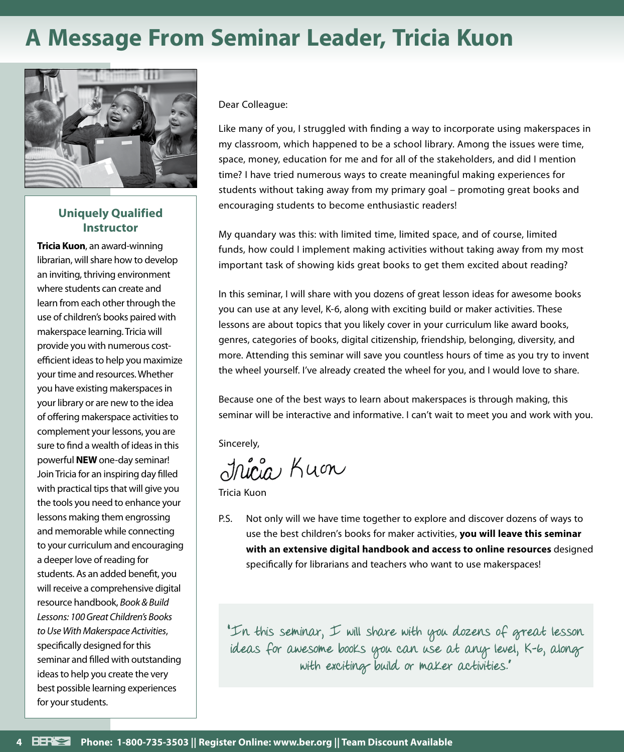# **A Message From Seminar Leader, Tricia Kuon**



#### **Uniquely Qualified Instructor**

**Tricia Kuon**, an award-winning librarian, will share how to develop an inviting, thriving environment where students can create and learn from each other through the use of children's books paired with makerspace learning. Tricia will provide you with numerous costefficient ideas to help you maximize your time and resources. Whether you have existing makerspaces in your library or are new to the idea of offering makerspace activities to complement your lessons, you are sure to find a wealth of ideas in this powerful **NEW** one-day seminar! Join Tricia for an inspiring day filled with practical tips that will give you the tools you need to enhance your lessons making them engrossing and memorable while connecting to your curriculum and encouraging a deeper love of reading for students. As an added benefit, you will receive a comprehensive digital resource handbook, *Book & Build Lessons: 100 Great Children's Books to Use With Makerspace Activities*, specifically designed for this seminar and filled with outstanding ideas to help you create the very best possible learning experiences for your students.

Dear Colleague:

Like many of you, I struggled with finding a way to incorporate using makerspaces in my classroom, which happened to be a school library. Among the issues were time, space, money, education for me and for all of the stakeholders, and did I mention time? I have tried numerous ways to create meaningful making experiences for students without taking away from my primary goal – promoting great books and encouraging students to become enthusiastic readers!

My quandary was this: with limited time, limited space, and of course, limited funds, how could I implement making activities without taking away from my most important task of showing kids great books to get them excited about reading?

In this seminar, I will share with you dozens of great lesson ideas for awesome books you can use at any level, K-6, along with exciting build or maker activities. These lessons are about topics that you likely cover in your curriculum like award books, genres, categories of books, digital citizenship, friendship, belonging, diversity, and more. Attending this seminar will save you countless hours of time as you try to invent the wheel yourself. I've already created the wheel for you, and I would love to share.

Because one of the best ways to learn about makerspaces is through making, this seminar will be interactive and informative. I can't wait to meet you and work with you.

Sincerely,

Jricia Kuon

Tricia Kuon

P.S. Not only will we have time together to explore and discover dozens of ways to use the best children's books for maker activities, **you will leave this seminar with an extensive digital handbook and access to online resources** designed specifically for librarians and teachers who want to use makerspaces!

"In this seminar, I will share with you dozens of great lesson ideas for awesome books you can use at any level, K-6, along with exciting build or maker activities."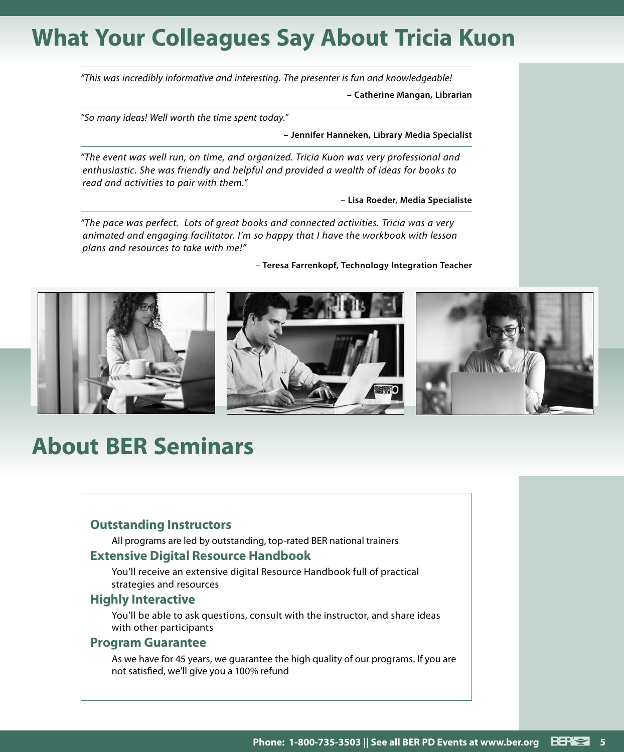## **What Your Colleagues Say About Tricia Kuon**

*"This was incredibly informative and interesting. The presenter is fun and knowledgeable!*

**– Catherine Mangan, Librarian**

*"So many ideas! Well worth the time spent today."*

**– Jennifer Hanneken, Library Media Specialist**

*"The event was well run, on time, and organized. Tricia Kuon was very professional and enthusiastic. She was friendly and helpful and provided a wealth of ideas for books to read and activities to pair with them."*

**– Lisa Roeder, Media Specialiste**

*"The pace was perfect. Lots of great books and connected activities. Tricia was a very animated and engaging facilitator. I'm so happy that I have the workbook with lesson plans and resources to take with me!"*

**– Teresa Farrenkopf, Technology Integration Teacher**



## **About BER Seminars**

#### **Outstanding Instructors**

All programs are led by outstanding, top-rated BER national trainers

#### **Extensive Digital Resource Handbook**

You'll receive an extensive digital Resource Handbook full of practical strategies and resources

#### **Highly Interactive**

You'll be able to ask questions, consult with the instructor, and share ideas with other participants

#### **Program Guarantee**

As we have for 45 years, we guarantee the high quality of our programs. If you are not satisfied, we'll give you a 100% refund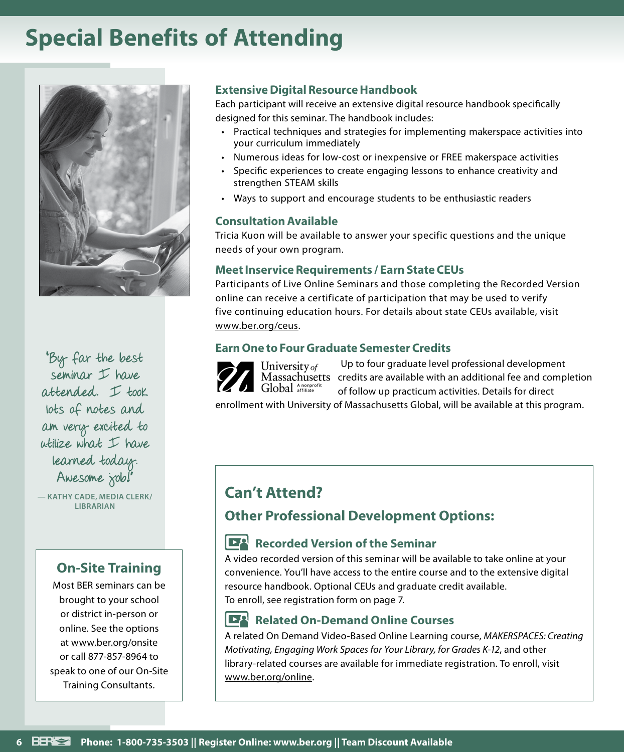## **Special Benefits of Attending**



"By far the best seminar  $I$  have attended. I took lots of notes and am very excited to utilize what I have learned today. Awesome job!

— **KATHY CADE, MEDIA CLERK/ LIBRARIAN**

#### **On-Site Training**

Most BER seminars can be brought to your school or district in-person or online. See the options at www.ber.org/onsite or call 877-857-8964 to speak to one of our On-Site Training Consultants.

#### **Extensive Digital Resource Handbook**

Each participant will receive an extensive digital resource handbook specifically designed for this seminar. The handbook includes:

- Practical techniques and strategies for implementing makerspace activities into your curriculum immediately
- Numerous ideas for low-cost or inexpensive or FREE makerspace activities
- Specific experiences to create engaging lessons to enhance creativity and strengthen STEAM skills
- Ways to support and encourage students to be enthusiastic readers

#### **Consultation Available**

Tricia Kuon will be available to answer your specific questions and the unique needs of your own program.

#### **Meet Inservice Requirements / Earn State CEUs**

Participants of Live Online Seminars and those completing the Recorded Version online can receive a certificate of participation that may be used to verify five continuing education hours. For details about state CEUs available, visit www.ber.org/ceus.

#### **Earn One to Four Graduate Semester Credits**

Up to four graduate level professional development University of Massachusetts credits are available with an additional fee and completion Global Anonprofit of follow up practicum activities. Details for direct

enrollment with University of Massachusetts Global, will be available at this program.

### **Can't Attend?**

#### **Other Professional Development Options:**

#### **Recorded Version of the Seminar**

A video recorded version of this seminar will be available to take online at your convenience. You'll have access to the entire course and to the extensive digital resource handbook. Optional CEUs and graduate credit available. To enroll, see registration form on page 7.

#### **Related On-Demand Online Courses**

A related On Demand Video-Based Online Learning course, *MAKERSPACES: Creating Motivating, Engaging Work Spaces for Your Library, for Grades K-12*, and other library-related courses are available for immediate registration. To enroll, visit www.ber.org/online.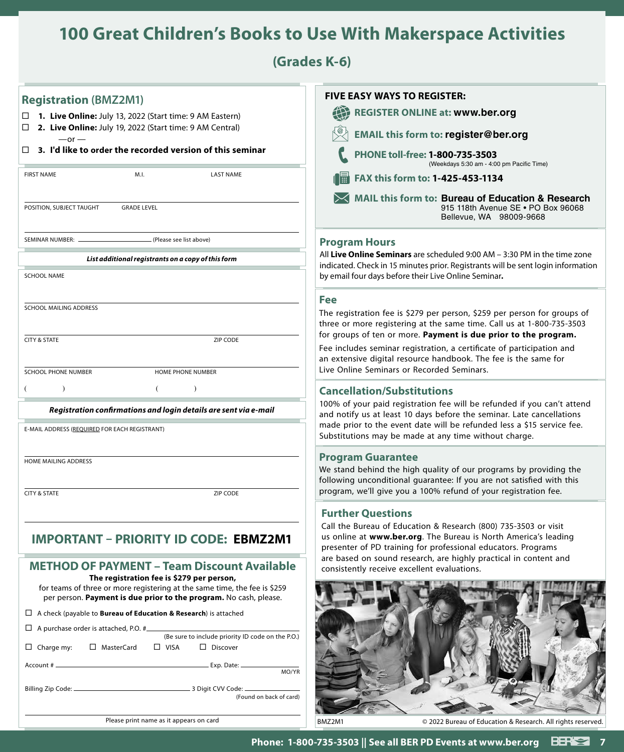## **100 Great Children's Books to Use With Makerspace Activities**

**(Grades K-6)**

| <b>Registration (BMZ2M1)</b>                                                                                                                                                                | <b>FIVE EASY WAYS TO REGISTER:</b>                                                                                                                                                                                                        |
|---------------------------------------------------------------------------------------------------------------------------------------------------------------------------------------------|-------------------------------------------------------------------------------------------------------------------------------------------------------------------------------------------------------------------------------------------|
| □ 1. Live Online: July 13, 2022 (Start time: 9 AM Eastern)                                                                                                                                  | <b>REGISTER ONLINE at: www.ber.org</b>                                                                                                                                                                                                    |
| 2. Live Online: July 19, 2022 (Start time: 9 AM Central)<br>$-$ or $-$                                                                                                                      | <b>EMAIL this form to: register@ber.org</b>                                                                                                                                                                                               |
| 3. I'd like to order the recorded version of this seminar<br>$\Box$                                                                                                                         | PHONE toll-free: 1-800-735-3503<br>(Weekdays 5:30 am - 4:00 pm Pacific Time)                                                                                                                                                              |
| <b>FIRST NAME</b><br>M.I.<br><b>LAST NAME</b>                                                                                                                                               | FAX this form to: 1-425-453-1134                                                                                                                                                                                                          |
| POSITION, SUBJECT TAUGHT<br><b>GRADE LEVEL</b>                                                                                                                                              | MAIL this form to: Bureau of Education & Research<br>915 118th Avenue SE . PO Box 96068<br>Bellevue, WA 98009-9668                                                                                                                        |
| SEMINAR NUMBER: _<br>. (Please see list above)                                                                                                                                              | <b>Program Hours</b>                                                                                                                                                                                                                      |
| List additional registrants on a copy of this form                                                                                                                                          | All Live Online Seminars are scheduled $9:00$ AM $-3:30$ PM in the time zone                                                                                                                                                              |
| <b>SCHOOL NAME</b>                                                                                                                                                                          | indicated. Check in 15 minutes prior. Registrants will be sent login information<br>by email four days before their Live Online Seminar.                                                                                                  |
|                                                                                                                                                                                             |                                                                                                                                                                                                                                           |
| SCHOOL MAILING ADDRESS                                                                                                                                                                      | <b>Fee</b>                                                                                                                                                                                                                                |
|                                                                                                                                                                                             | The registration fee is \$279 per person, \$259 per person for groups of<br>three or more registering at the same time. Call us at 1-800-735-3503<br>for groups of ten or more. Payment is due prior to the program.                      |
| <b>CITY &amp; STATE</b><br>ZIP CODE                                                                                                                                                         | Fee includes seminar registration, a certificate of participation and<br>an extensive digital resource handbook. The fee is the same for                                                                                                  |
| SCHOOL PHONE NUMBER<br><b>HOME PHONE NUMBER</b>                                                                                                                                             | Live Online Seminars or Recorded Seminars.                                                                                                                                                                                                |
| $\lambda$<br>$\lambda$                                                                                                                                                                      | <b>Cancellation/Substitutions</b>                                                                                                                                                                                                         |
| Registration confirmations and login details are sent via e-mail                                                                                                                            | 100% of your paid registration fee will be refunded if you can't attend                                                                                                                                                                   |
| E-MAIL ADDRESS (REQUIRED FOR EACH REGISTRANT)                                                                                                                                               | and notify us at least 10 days before the seminar. Late cancellations<br>made prior to the event date will be refunded less a \$15 service fee.<br>Substitutions may be made at any time without charge.                                  |
| HOME MAILING ADDRESS                                                                                                                                                                        | <b>Program Guarantee</b><br>We stand behind the high quality of our programs by providing the<br>following unconditional guarantee: If you are not satisfied with this<br>program, we'll give you a 100% refund of your registration fee. |
| <b>CITY &amp; STATE</b><br><b>ZIP CODE</b>                                                                                                                                                  |                                                                                                                                                                                                                                           |
|                                                                                                                                                                                             | <b>Further Questions</b>                                                                                                                                                                                                                  |
| <b>IMPORTANT - PRIORITY ID CODE: EBMZ2M1</b>                                                                                                                                                | Call the Bureau of Education & Research (800) 735-3503 or visit<br>us online at www.ber.org. The Bureau is North America's leading<br>presenter of PD training for professional educators. Programs                                       |
| <b>METHOD OF PAYMENT - Team Discount Available</b>                                                                                                                                          | are based on sound research, are highly practical in content and<br>consistently receive excellent evaluations.                                                                                                                           |
| The registration fee is \$279 per person,<br>for teams of three or more registering at the same time, the fee is \$259<br>per person. Payment is due prior to the program. No cash, please. |                                                                                                                                                                                                                                           |
| $\Box$ A check (payable to <b>Bureau of Education &amp; Research</b> ) is attached                                                                                                          |                                                                                                                                                                                                                                           |
| $\Box$ A purchase order is attached, P.O. #                                                                                                                                                 |                                                                                                                                                                                                                                           |
| (Be sure to include priority ID code on the P.O.)<br>$\Box$ Charge my:<br>□ MasterCard<br>$\Box$ VISA<br>$\Box$ Discover                                                                    |                                                                                                                                                                                                                                           |
| MO/YR                                                                                                                                                                                       |                                                                                                                                                                                                                                           |
| (Found on back of card)                                                                                                                                                                     |                                                                                                                                                                                                                                           |
| Please print name as it appears on card                                                                                                                                                     | © 2022 Bureau of Education & Research. All rights reserved<br>BMZ2M1                                                                                                                                                                      |
|                                                                                                                                                                                             |                                                                                                                                                                                                                                           |